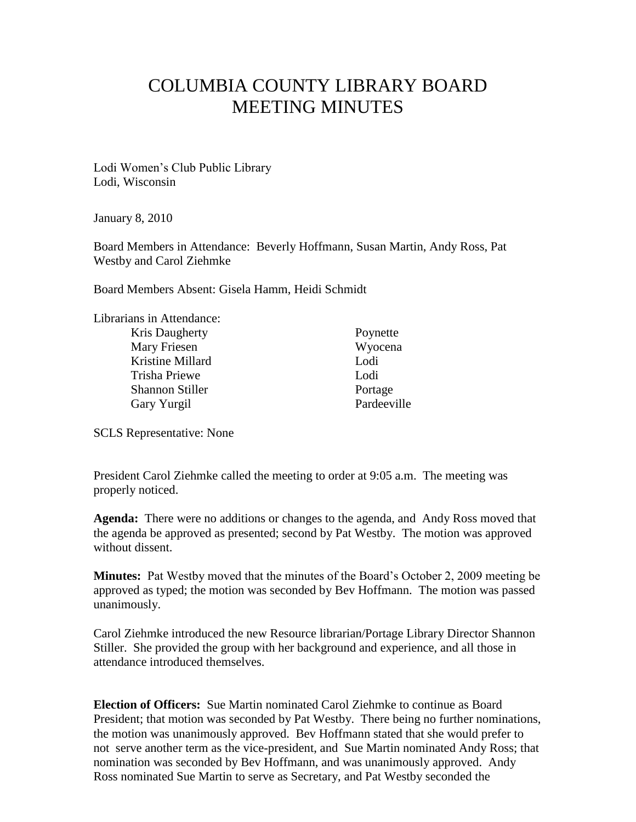## COLUMBIA COUNTY LIBRARY BOARD MEETING MINUTES

Lodi Women"s Club Public Library Lodi, Wisconsin

January 8, 2010

Board Members in Attendance: Beverly Hoffmann, Susan Martin, Andy Ross, Pat Westby and Carol Ziehmke

Board Members Absent: Gisela Hamm, Heidi Schmidt

| Librarians in Attendance: |             |
|---------------------------|-------------|
| Kris Daugherty            | Poynette    |
| Mary Friesen              | Wyocena     |
| Kristine Millard          | Lodi        |
| Trisha Priewe             | Lodi        |
| <b>Shannon Stiller</b>    | Portage     |
| Gary Yurgil               | Pardeeville |
|                           |             |

SCLS Representative: None

President Carol Ziehmke called the meeting to order at 9:05 a.m. The meeting was properly noticed.

**Agenda:** There were no additions or changes to the agenda, and Andy Ross moved that the agenda be approved as presented; second by Pat Westby. The motion was approved without dissent.

**Minutes:** Pat Westby moved that the minutes of the Board"s October 2, 2009 meeting be approved as typed; the motion was seconded by Bev Hoffmann. The motion was passed unanimously.

Carol Ziehmke introduced the new Resource librarian/Portage Library Director Shannon Stiller. She provided the group with her background and experience, and all those in attendance introduced themselves.

**Election of Officers:** Sue Martin nominated Carol Ziehmke to continue as Board President; that motion was seconded by Pat Westby. There being no further nominations, the motion was unanimously approved. Bev Hoffmann stated that she would prefer to not serve another term as the vice-president, and Sue Martin nominated Andy Ross; that nomination was seconded by Bev Hoffmann, and was unanimously approved. Andy Ross nominated Sue Martin to serve as Secretary, and Pat Westby seconded the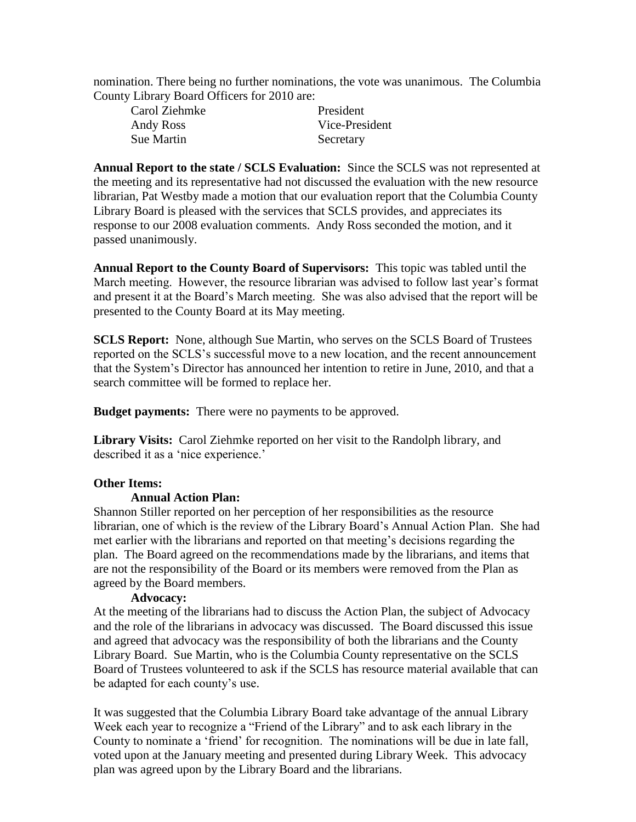nomination. There being no further nominations, the vote was unanimous. The Columbia County Library Board Officers for 2010 are:

| Carol Ziehmke     | President      |
|-------------------|----------------|
| Andy Ross         | Vice-President |
| <b>Sue Martin</b> | Secretary      |

**Annual Report to the state / SCLS Evaluation:** Since the SCLS was not represented at the meeting and its representative had not discussed the evaluation with the new resource librarian, Pat Westby made a motion that our evaluation report that the Columbia County Library Board is pleased with the services that SCLS provides, and appreciates its response to our 2008 evaluation comments. Andy Ross seconded the motion, and it passed unanimously.

**Annual Report to the County Board of Supervisors:** This topic was tabled until the March meeting. However, the resource librarian was advised to follow last year"s format and present it at the Board"s March meeting. She was also advised that the report will be presented to the County Board at its May meeting.

**SCLS Report:** None, although Sue Martin, who serves on the SCLS Board of Trustees reported on the SCLS"s successful move to a new location, and the recent announcement that the System"s Director has announced her intention to retire in June, 2010, and that a search committee will be formed to replace her.

**Budget payments:** There were no payments to be approved.

**Library Visits:** Carol Ziehmke reported on her visit to the Randolph library, and described it as a 'nice experience.'

## **Other Items:**

## **Annual Action Plan:**

Shannon Stiller reported on her perception of her responsibilities as the resource librarian, one of which is the review of the Library Board"s Annual Action Plan. She had met earlier with the librarians and reported on that meeting"s decisions regarding the plan. The Board agreed on the recommendations made by the librarians, and items that are not the responsibility of the Board or its members were removed from the Plan as agreed by the Board members.

## **Advocacy:**

At the meeting of the librarians had to discuss the Action Plan, the subject of Advocacy and the role of the librarians in advocacy was discussed. The Board discussed this issue and agreed that advocacy was the responsibility of both the librarians and the County Library Board. Sue Martin, who is the Columbia County representative on the SCLS Board of Trustees volunteered to ask if the SCLS has resource material available that can be adapted for each county's use.

It was suggested that the Columbia Library Board take advantage of the annual Library Week each year to recognize a "Friend of the Library" and to ask each library in the County to nominate a "friend" for recognition. The nominations will be due in late fall, voted upon at the January meeting and presented during Library Week. This advocacy plan was agreed upon by the Library Board and the librarians.